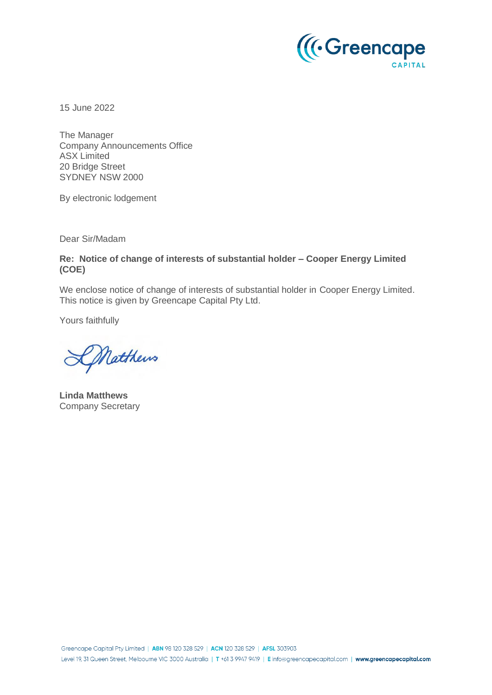

15 June 2022

The Manager Company Announcements Office ASX Limited 20 Bridge Street SYDNEY NSW 2000

By electronic lodgement

Dear Sir/Madam

**Re: Notice of change of interests of substantial holder – Cooper Energy Limited (COE)**

We enclose notice of change of interests of substantial holder in Cooper Energy Limited. This notice is given by Greencape Capital Pty Ltd.

Yours faithfully

Matthews

**Linda Matthews** Company Secretary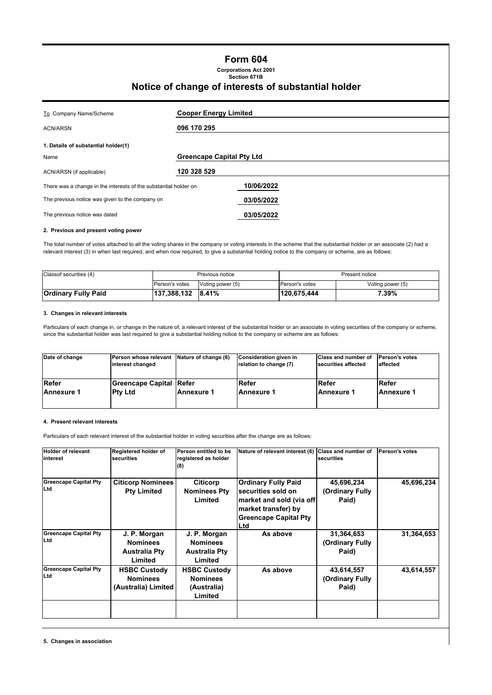# **Form 604**

**Corporations Act 2001 Section 671B**

## **Notice of change of interests of substantial holder**

| To Company Name/Scheme                                           | <b>Cooper Energy Limited</b>     |  |  |
|------------------------------------------------------------------|----------------------------------|--|--|
| <b>ACN/ARSN</b>                                                  | 096 170 295                      |  |  |
| 1. Details of substantial holder(1)                              |                                  |  |  |
| Name                                                             | <b>Greencape Capital Pty Ltd</b> |  |  |
| ACN/ARSN (if applicable)                                         | 120 328 529                      |  |  |
| There was a change in the interests of the substantial holder on | 10/06/2022                       |  |  |
| The previous notice was given to the company on                  | 03/05/2022                       |  |  |
| The previous notice was dated                                    | 03/05/2022                       |  |  |
|                                                                  |                                  |  |  |

### **2. Previous and present voting power**

The total number of votes attached to all the voting shares in the company or voting interests in the scheme that the substantial holder or an associate (2) had a relevant interest (3) in when last required, and when now required, to give a substantial holding notice to the company or scheme, are as follows:

| Classof securities (4)     | Previous notice       |                  | Present notice |                  |  |
|----------------------------|-----------------------|------------------|----------------|------------------|--|
|                            | <b>Person's votes</b> | Voting power (5) | Person's votes | Voting power (5) |  |
| <b>Ordinary Fully Paid</b> | 137,388,132 8.41%     |                  | 120,675,444    | 7.39%            |  |

#### **3. Changes in relevant interests**

Particulars of each change in, or change in the nature of, a relevant interest of the substantial holder or an associate in voting securities of the company or scheme, since the substantial holder was last required to give a substantial holding notice to the company or scheme are as follows:

| Date of change | Person whose relevant<br>interest changed | Nature of change (6) | Consideration given in<br>relation to change (7) | <b>Class and number of</b><br>securities affected | <b>Person's votes</b><br>affected |
|----------------|-------------------------------------------|----------------------|--------------------------------------------------|---------------------------------------------------|-----------------------------------|
| Refer          | Greencape Capital Refer                   |                      | Refer                                            | Refer                                             | Refer                             |
| Annexure 1     | <b>Ptv Ltd</b>                            | Annexure 1           | Annexure 1                                       | Annexure 1                                        | <b>Annexure 1</b>                 |

### **4. Present relevant interests**

Particulars of each relevant interest of the substantial holder in voting securities after the change are as follows:

| <b>Holder of relevant</b><br>interest | Registered holder of<br>securities                                 | Person entitled to be<br>registered as holder<br>(8)               | Nature of relevant interest (6)                                                                                                             | <b>Class and number of</b><br>securities | Person's votes |
|---------------------------------------|--------------------------------------------------------------------|--------------------------------------------------------------------|---------------------------------------------------------------------------------------------------------------------------------------------|------------------------------------------|----------------|
| <b>Greencape Capital Pty</b><br>Ltd   | <b>Citicorp Nominees</b><br><b>Pty Limited</b>                     | <b>Citicorp</b><br><b>Nominees Pty</b><br>Limited                  | <b>Ordinary Fully Paid</b><br>securities sold on<br>market and sold (via off)<br>market transfer) by<br><b>Greencape Capital Pty</b><br>Ltd | 45,696,234<br>(Ordinary Fully<br>Paid)   | 45,696,234     |
| <b>Greencape Capital Pty</b><br>Ltd   | J. P. Morgan<br><b>Nominees</b><br><b>Australia Pty</b><br>Limited | J. P. Morgan<br><b>Nominees</b><br><b>Australia Pty</b><br>Limited | As above                                                                                                                                    | 31,364,653<br>(Ordinary Fully<br>Paid)   | 31,364,653     |
| <b>Greencape Capital Pty</b><br>Ltd   | <b>HSBC Custody</b><br><b>Nominees</b><br>(Australia) Limited      | <b>HSBC Custody</b><br><b>Nominees</b><br>(Australia)<br>Limited   | As above                                                                                                                                    | 43,614,557<br>(Ordinary Fully<br>Paid)   | 43,614,557     |
|                                       |                                                                    |                                                                    |                                                                                                                                             |                                          |                |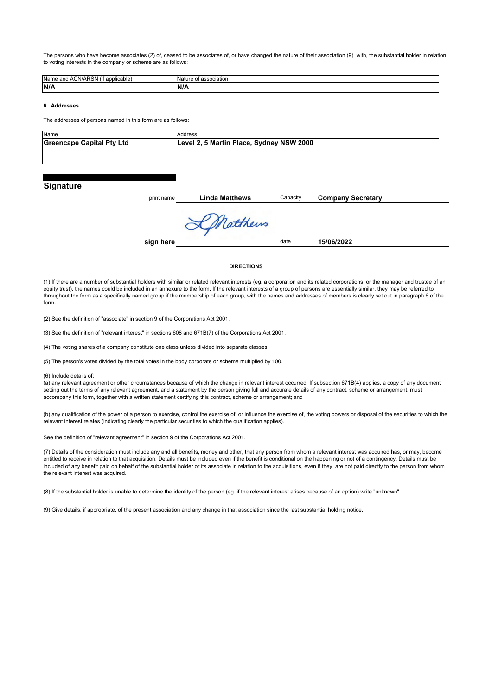The persons who have become associates (2) of, ceased to be associates of, or have changed the nature of their association (9) with, the substantial holder in relation to voting interests in the company or scheme are as follows:

| <br>Name<br>blicable<br>onni<br>:ר<br>$\overline{\phantom{a}}$ | - הר<br>ociation |
|----------------------------------------------------------------|------------------|
| N/A                                                            | N/A              |

#### **6. Addresses**

The addresses of persons named in this form are as follows:

| Name                                                                  | Address |
|-----------------------------------------------------------------------|---------|
| Greencape Capital Pty Ltd<br>Level 2, 5 Martin Place, Sydney NSW 2000 |         |
|                                                                       |         |
|                                                                       |         |

## **Signature**

| print name | <b>Linda Matthews</b> | Capacity | <b>Company Secretary</b> |  |
|------------|-----------------------|----------|--------------------------|--|
|            |                       |          |                          |  |
|            | KMatthews             |          |                          |  |
| sign here  |                       | date     | 15/06/2022               |  |
|            |                       |          |                          |  |
|            | <b>DIRECTIONS</b>     |          |                          |  |

(1) If there are a number of substantial holders with similar or related relevant interests (eg. a corporation and its related corporations, or the manager and trustee of an equity trust), the names could be included in an annexure to the form. If the relevant interests of a group of persons are essentially similar, they may be referred to throughout the form as a specifically named group if the membership of each group, with the names and addresses of members is clearly set out in paragraph 6 of the form.

(2) See the definition of "associate" in section 9 of the Corporations Act 2001.

(3) See the definition of "relevant interest" in sections 608 and 671B(7) of the Corporations Act 2001.

(4) The voting shares of a company constitute one class unless divided into separate classes.

(5) The person's votes divided by the total votes in the body corporate or scheme multiplied by 100.

#### (6) Include details of:

(a) any relevant agreement or other circumstances because of which the change in relevant interest occurred. If subsection 671B(4) applies, a copy of any document setting out the terms of any relevant agreement, and a statement by the person giving full and accurate details of any contract, scheme or arrangement, must accompany this form, together with a written statement certifying this contract, scheme or arrangement; and

(b) any qualification of the power of a person to exercise, control the exercise of, or influence the exercise of, the voting powers or disposal of the securities to which the relevant interest relates (indicating clearly the particular securities to which the qualification applies).

See the definition of "relevant agreement" in section 9 of the Corporations Act 2001.

(7) Details of the consideration must include any and all benefits, money and other, that any person from whom a relevant interest was acquired has, or may, become entitled to receive in relation to that acquisition. Details must be included even if the benefit is conditional on the happening or not of a contingency. Details must be included of any benefit paid on behalf of the substantial holder or its associate in relation to the acquisitions, even if they are not paid directly to the person from whom the relevant interest was acquired.

(8) If the substantial holder is unable to determine the identity of the person (eg. if the relevant interest arises because of an option) write "unknown".

(9) Give details, if appropriate, of the present association and any change in that association since the last substantial holding notice.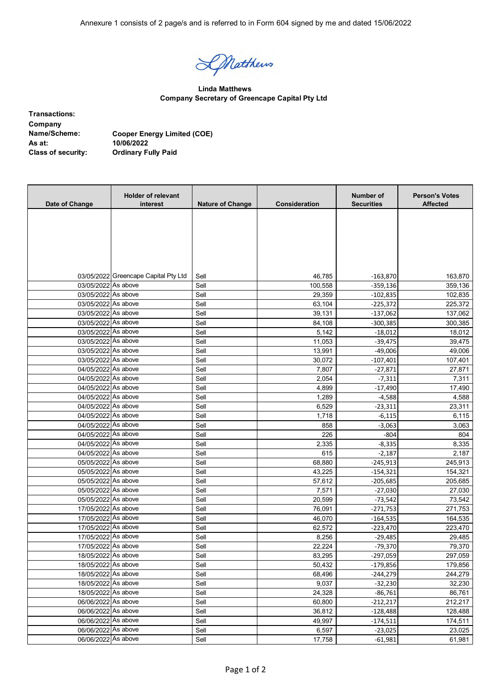Annexure 1 consists of 2 page/s and is referred to in Form 604 signed by me and dated 15/06/2022

Datthews

**Linda Matthews Company Secretary of Greencape Capital Pty Ltd**

| <b>Transactions:</b>      |      |
|---------------------------|------|
| Company                   |      |
| Name/Scheme:              | Coo  |
| As at:                    | 10/0 |
| <b>Class of security:</b> | Ord  |

**Name/Scheme: Cooper Energy Limited (COE)** .<br>**16/2022 Class of security: Ordinary Fully Paid**

| Date of Change      | <b>Holder of relevant</b><br>interest | <b>Nature of Change</b> | Consideration | Number of<br><b>Securities</b> | <b>Person's Votes</b><br><b>Affected</b> |
|---------------------|---------------------------------------|-------------------------|---------------|--------------------------------|------------------------------------------|
|                     |                                       |                         |               |                                |                                          |
|                     |                                       |                         |               |                                |                                          |
|                     |                                       |                         |               |                                |                                          |
|                     |                                       |                         |               |                                |                                          |
|                     |                                       |                         |               |                                |                                          |
|                     |                                       |                         |               |                                |                                          |
|                     | 03/05/2022 Greencape Capital Pty Ltd  | Sell                    | 46,785        | $-163,870$                     | 163,870                                  |
| 03/05/2022 As above |                                       | Sell                    | 100,558       | $-359,136$                     | 359,136                                  |
| 03/05/2022 As above |                                       | Sell                    | 29,359        | $-102,835$                     | 102,835                                  |
| 03/05/2022 As above |                                       | Sell                    | 63,104        | $-225,372$                     | 225,372                                  |
| 03/05/2022 As above |                                       | Sell                    | 39,131        | -137,062                       | 137,062                                  |
| 03/05/2022 As above |                                       | Sell                    | 84,108        | $-300,385$                     | 300,385                                  |
| 03/05/2022 As above |                                       | Sell                    | 5,142         | $-18,012$                      | 18,012                                   |
| 03/05/2022 As above |                                       | Sell                    | 11,053        | $-39,475$                      | 39,475                                   |
| 03/05/2022 As above |                                       | Sell                    | 13,991        | $-49,006$                      | 49,006                                   |
| 03/05/2022 As above |                                       | Sell                    | 30,072        | $-107,401$                     | 107,401                                  |
| 04/05/2022 As above |                                       | Sell                    | 7,807         | $-27,871$                      | 27,871                                   |
| 04/05/2022 As above |                                       | Sell                    | 2,054         | $-7,311$                       | 7,311                                    |
| 04/05/2022 As above |                                       | Sell                    | 4,899         | $-17,490$                      | 17,490                                   |
| 04/05/2022 As above |                                       | Sell                    | 1,289         | $-4,588$                       | 4,588                                    |
| 04/05/2022 As above |                                       | Sell                    | 6,529         | $-23,311$                      | 23,311                                   |
| 04/05/2022 As above |                                       | Sell                    | 1,718         | $-6,115$                       | 6,115                                    |
| 04/05/2022 As above |                                       | Sell                    | 858           | $-3,063$                       | 3,063                                    |
| 04/05/2022 As above |                                       | Sell                    | 226           | $-804$                         | 804                                      |
| 04/05/2022 As above |                                       | Sell                    | 2,335         | $-8,335$                       | 8,335                                    |
| 04/05/2022 As above |                                       | Sell                    | 615           | $-2,187$                       | 2,187                                    |
| 05/05/2022 As above |                                       | Sell                    | 68,880        | $-245,913$                     | 245,913                                  |
| 05/05/2022 As above |                                       | Sell                    | 43,225        | -154,321                       | 154,321                                  |
| 05/05/2022 As above |                                       | Sell                    | 57,612        | $-205,685$                     | 205,685                                  |
| 05/05/2022 As above |                                       | Sell                    | 7,571         | $-27,030$                      | 27,030                                   |
| 05/05/2022 As above |                                       | Sell                    | 20,599        | $-73,542$                      | 73,542                                   |
| 17/05/2022 As above |                                       | Sell                    | 76,091        | $-271,753$                     | 271,753                                  |
| 17/05/2022 As above |                                       | Sell                    | 46,070        | $-164,535$                     | 164,535                                  |
| 17/05/2022 As above |                                       | Sell                    | 62,572        | $-223,470$                     | 223,470                                  |
| 17/05/2022 As above |                                       | Sell                    | 8,256         | $-29,485$                      | 29,485                                   |
| 17/05/2022 As above |                                       | Sell                    | 22,224        | $-79,370$                      | 79,370                                   |
| 18/05/2022 As above |                                       | Sell                    | 83,295        | $-297,059$                     | 297,059                                  |
| 18/05/2022 As above |                                       | Sell                    | 50,432        | $-179,856$                     | 179,856                                  |
| 18/05/2022 As above |                                       | Sell                    | 68,496        | $-244,279$                     | 244,279                                  |
| 18/05/2022 As above |                                       | Sell                    | 9,037         | $-32,230$                      | 32,230                                   |
| 18/05/2022 As above |                                       | Sell                    | 24,328        | $-86,761$                      | 86,761                                   |
| 06/06/2022 As above |                                       | Sell                    | 60,800        | $-212,217$                     | 212,217                                  |
| 06/06/2022 As above |                                       | Sell                    | 36,812        | $-128,488$                     | 128,488                                  |
| 06/06/2022 As above |                                       | Sell                    | 49,997        | $-174,511$                     | 174,511                                  |
| 06/06/2022 As above |                                       | Sell                    | 6,597         | $-23,025$                      | 23,025                                   |
| 06/06/2022 As above |                                       | Sell                    | 17,758        | $-61,981$                      | 61,981                                   |